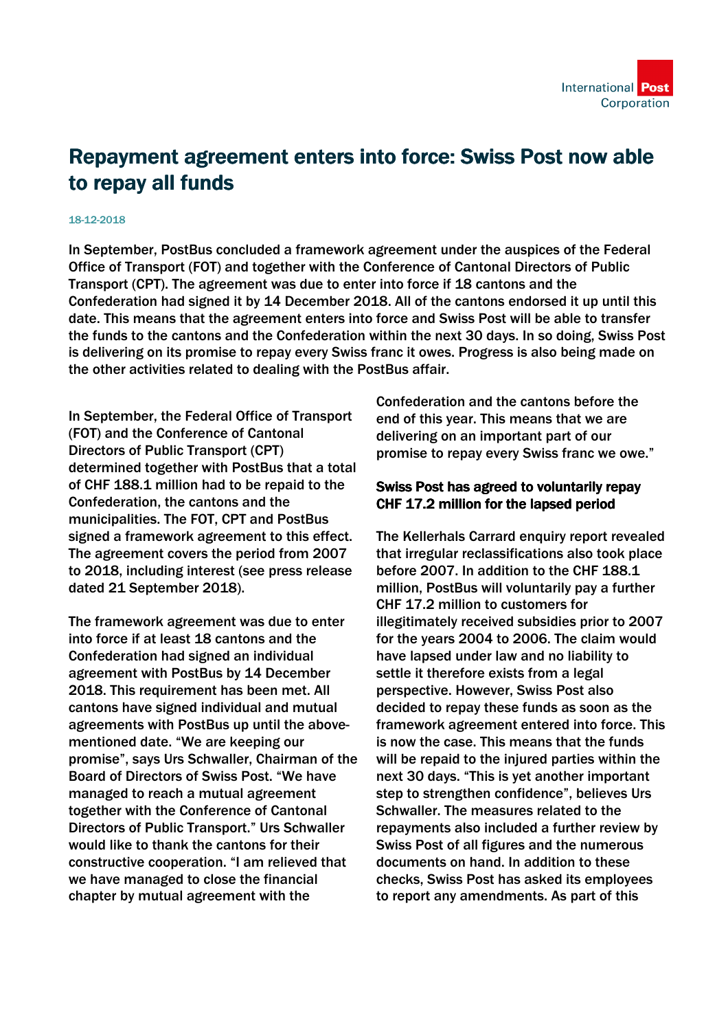

## Repayment agreement enters into force: Swiss Post now able to repay all funds

## 18-12-2018

In September, PostBus concluded a framework agreement under the auspices of the Federal Office of Transport (FOT) and together with the Conference of Cantonal Directors of Public Transport (CPT). The agreement was due to enter into force if 18 cantons and the Confederation had signed it by 14 December 2018. All of the cantons endorsed it up until this date. This means that the agreement enters into force and Swiss Post will be able to transfer the funds to the cantons and the Confederation within the next 30 days. In so doing, Swiss Post is delivering on its promise to repay every Swiss franc it owes. Progress is also being made on the other activities related to dealing with the PostBus affair.

In September, the Federal Office of Transport (FOT) and the Conference of Cantonal Directors of Public Transport (CPT) determined together with PostBus that a total of CHF 188.1 million had to be repaid to the Confederation, the cantons and the municipalities. The FOT, CPT and PostBus signed a framework agreement to this effect. The agreement covers the period from 2007 to 2018, including interest (see press release dated 21 September 2018).

The framework agreement was due to enter into force if at least 18 cantons and the Confederation had signed an individual agreement with PostBus by 14 December 2018. This requirement has been met. All cantons have signed individual and mutual agreements with PostBus up until the abovementioned date. "We are keeping our promise", says Urs Schwaller, Chairman of the Board of Directors of Swiss Post. "We have managed to reach a mutual agreement together with the Conference of Cantonal Directors of Public Transport." Urs Schwaller would like to thank the cantons for their constructive cooperation. "I am relieved that we have managed to close the financial chapter by mutual agreement with the

Confederation and the cantons before the end of this year. This means that we are delivering on an important part of our promise to repay every Swiss franc we owe."

## Swiss Post has agreed to voluntarily repay CHF 17.2 million for the lapsed period

The Kellerhals Carrard enquiry report revealed that irregular reclassifications also took place before 2007. In addition to the CHF 188.1 million, PostBus will voluntarily pay a further CHF 17.2 million to customers for illegitimately received subsidies prior to 2007 for the years 2004 to 2006. The claim would have lapsed under law and no liability to settle it therefore exists from a legal perspective. However, Swiss Post also decided to repay these funds as soon as the framework agreement entered into force. This is now the case. This means that the funds will be repaid to the injured parties within the next 30 days. "This is yet another important step to strengthen confidence", believes Urs Schwaller. The measures related to the repayments also included a further review by Swiss Post of all figures and the numerous documents on hand. In addition to these checks, Swiss Post has asked its employees to report any amendments. As part of this